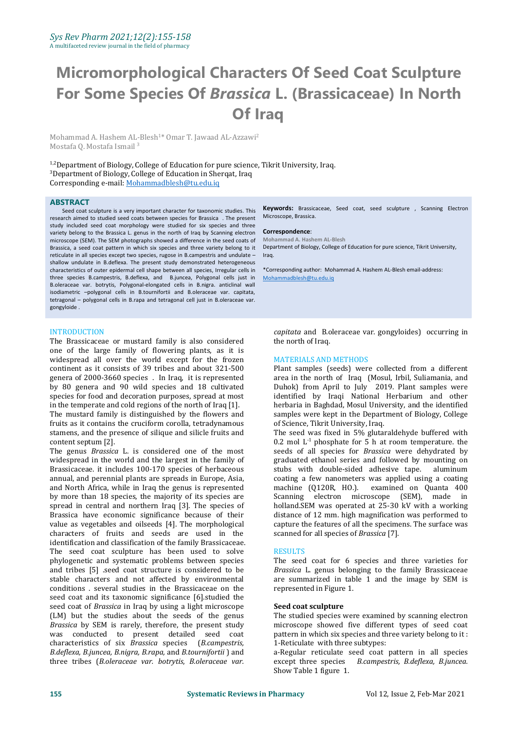# **Micromorphological Characters Of Seed Coat Sculpture For Some Species Of** *Brassica* **L. (Brassicaceae) In North Of Iraq**

Mohammad A. Hashem AL-Blesh <sup>1</sup>\* Omar T. Jawaad AL-Azzawi<sup>2</sup> Mostafa Q. Mostafa Ismail <sup>3</sup>

<sup>1,2</sup>Department of Biology, College of Education for pure science, Tikrit University, Iraq. <sup>3</sup>Department of Biology, College of Education in Sherqat, Iraq Corresponding e-mail: [Mohammadblesh@tu.edu.iq](mailto:Mohammadblesh@tu.edu.iq)

#### **ABSTRACT**

Seed coat sculpture is a very important character for taxonomic studies. This research aimed to studied seed coats between species for Brassica . The present study included seed coat morphology were studied for six species and three variety belong to the Brassica L. genus in the north of Iraq by Scanning electron microscope (SEM). The SEM photographs showed a difference in the seed coats of Brassica, a seed coat pattern in which six species and three variety belong to it reticulate in all species except two species, rugose in B.campestris and undulate – shallow undulate in B.deflexa. The present study demonstrated heterogeneous characteristics of outer epidermal cell shape between all species, Irregular cells in three species B.campestris, B.deflexa, and B.juncea, Polygonal cells just in B.oleraceae var. botrytis, Polygonal-elongated cells in B.nigra. anticlinal wall isodiametric –polygonal cells in B.tournifortii and B.oleraceae var. capitata, tetragonal – polygonal cells in B.rapa and tetragonal cell just in B.oleraceae var. gongyloide .

### INTRODUCTION

The Brassicaceae or mustard family is also considered the north of Iraq one of the large family of flowering plants, as it is widespread all over the world except for the frozen continent as it consists of 39 tribes and about 321-500 genera of 2000-3660 species . In Iraq, it is represented by 80 genera and 90 wild species and 18 cultivated species for food and decoration purposes, spread at most in the temperate and cold regions of the north of Iraq [1].

The mustard family is distinguished by the flowers and fruits as it contains the cruciform corolla, tetradynamous stamens, and the presence of silique and silicle fruits and content septum [2].

The genus *Brassica* L. is considered one of the most widespread in the world and the largest in the family of Brassicaceae. it includes 100-170 species of herbaceous annual, and perennial plants are spreads in Europe, Asia, and North Africa, while in Iraq the genus is represented by more than 18 species, the majority of its species are spread in central and northern Iraq [3]. The species of Brassica have economic significance because of their value as vegetables and oilseeds [4]. The morphological characters of fruits and seeds are used in the identification and classification of the family Brassicaceae. The seed coat sculpture has been used to solve<br>
phylogenetic and systematic problems between species The seed coat for 6 species and three varieties for phylogenetic and systematic problems between species and tribes [5] .seed coat structure is considered to be stable characters and not affected by environmental conditions . several studies in the Brassicaceae on the seed coat and its taxonomic significance [6].studied the seed coat of *Brassica* in Iraq by using a light microscope (LM) but the studies about the seeds of the genus Brassica by SEM is rarely, therefore, the present study was conducted to present detailed seed coat pattern in which six species and the characteristics of six *Brassica* species (*B.campestris*, 1-Reticulate with three subtypes: characteristics of six *Brassica* species (*B.campestris,* 1-Reticulate with three *B.deflexa, B.juncea, B.nigra, B.rapa,* and *B.tournifortii* ) and a-Regular reticulate sthree tribes (*B.oleraceae var. botrytis, B.olerac* three tribes (*B.oleraceae var. botrytis*, *B.oleraceae var.*

**Keywords:** Brassicaceae, Seed coat, seed sculpture , Scanning Electron Microscope, Brassica.

#### **Correspondence**:

**Mohammad A. Hashem AL-Blesh** Department of Biology, College of Education for pure science, Tikrit University, Iraq.

\*Corresponding author: Mohammad A. Hashem AL-Blesh email-address: [Mohammadblesh@tu.edu.iq](mailto:Mohammadblesh@tu.edu.iq)

*capitata* and B.oleraceae var. gongyloides) occurring in the north of Iraq.

#### MATERIALS AND METHODS

Plant samples (seeds) were collected from a different area in the north of Iraq (Mosul, Irbil, Suliamania, and Duhok) from April to July 2019. Plant samples were identified by Iraqi National Herbarium and other herbaria in Baghdad, Mosul University, and the identified samples were kept in the Department of Biology, College of Science, Tikrit University, Iraq.

The seed was fixed in 5% glutaraldehyde buffered with  $0.2$  mol  $L^{-1}$  phosphate for 5 h at room temperature. the seeds of all species for *Brassica* were dehydrated by graduated ethanol series and followed by mounting on stubs with double-sided adhesive tape. coating a few nanometers was applied using a coating machine (Q120R, HO.). examined on Quanta 400<br>Scanning electron microscope (SEM), made in Scanning electron microscope (SEM), made holland.SEM was operated at 25-30 kV with a working distance of 12 mm. high magnification was performed to capture the features of all the specimens. The surface was scanned for all species of *Brassica* [7].

#### RESULTS

Brassica L. genus belonging to the family Brassicaceae are summarized in table 1 and the image by SEM is represented in Figure 1.

#### **Seed coat sculpture**

The studied species were examined by scanning electron microscope showed five different types of seed coat pattern in which six species and three variety belong to it :

a-Regular reticulate seed coat pattern in all species except three species *B.campestris, B.deflexa, B.juncea.* Show Table 1 figure 1.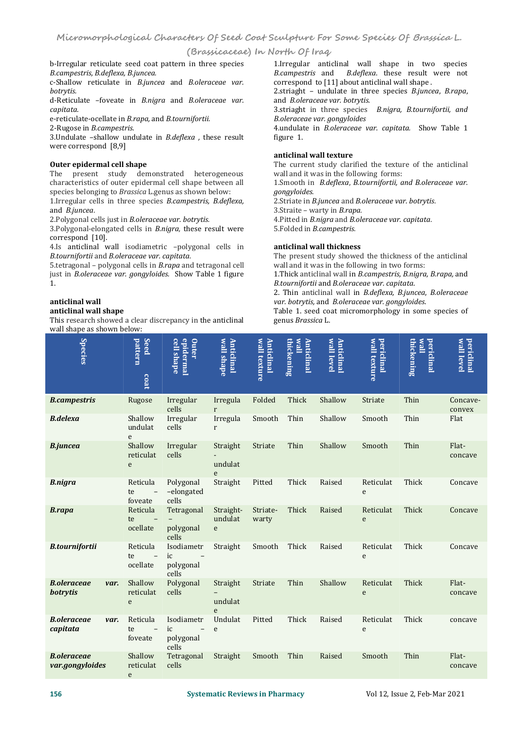### **(Brassicaceae) In North Of Iraq**

c-Shallow reticulate in *B.juncea* and *B.oleraceae var. botrytis.*

d-Reticulate –foveate in *B.nigra* and *B.oleraceae var. capitata*.

e-reticulate-ocellate in *B.rapa,* and *B.tournifortii.*

2-Rugose in *B.campestris.*

3.Undulate –shallow undulate in *B.deflexa ,* these result were correspond [8,9]

#### **Outer epidermal cell shape**

The present study demonstrated heterogeneous characteristics of outer epidermal cell shape between all all species belonging to *Brassica* Lgenus as shown below: *gongyloides.* species belonging to *Brassica* L.genus as shown below:

1.Irregular cells in three species *B.campestris, B.deflexa,* and *B.juncea*.

2.Polygonal cells justin *B.oleraceae var.botrytis*.

3.Polygonal-elongated cells in *B.nigra*, these result were correspond [10].<br>4.Is anticlinal wall isodiametric -polygonal cells in

4.Is anticlinal wall isodiametric –polygonal cells in *B.tournifortii* and *B.oleraceae var. capitata*.

5.tetragonal – polygonal cells in *B.rapa* and tetragonal cell just in *B.oleraceae var. gongyloides.* Show Table 1 figure 1.

### **anticlinal wall**

#### **anticlinal wall shape**

This research showed a clear discrepancy in the anticlinal wall shape as shown below:

b-Irregular reticulate seed coat pattern in three species *B.campestris, B.deflexa, B.juncea.* 1.Irregular anticlinal wall shape in two species *B.campestris* and *B.deflexa*. these result were not correspond to [11] about anticlinal wall shape .

2.striaght – undulate in three species *B.juncea*,*B.rapa*, and *B.oleraceae var. botrytis.*

3.striaght in three species *B.nigra, B.tournifortii, and B.oleraceae var. gongyloides*

4.undulate in *B.oleraceae var. capitata.* Show Table 1 figure 1.

#### **anticlinal wall texture**

The current study clarified the texture of the anticlinal wall and it was in the following forms:

1.Smooth in *B.deflexa, B.tournifortii, and B.oleraceae var.* 

2.Striate in *B.juncea* and *B.oleraceae var. botrytis*.

3.Straite – warty in *B.rapa*.

4.Pitted in *B.nigra* and *B.oleraceae var. capitata*. 5.Folded in *B.campestris*.

#### **anticlinal wall thickness**

The present study showed the thickness of the anticlinal wall and it was in the following in two forms:

1.Thick anticlinal wall in *B.campestris, B.nigra, B.rapa,* and *B.tournifortii* and *B.oleraceae var. capitata*.

2. Thin anticlinal wall in *B.deflexa, B.juncea*, *B.oleraceae var. botrytis,* and *B.oleraceae var. gongyloides*.

Table 1. seed coat micromorphology in some species of genus *Brassica* L.

| <b>Species</b>                        |      | <b>Seed</b><br>pattern<br>coat                         | <b>epidermal</b><br>cell shape<br><b>Outer</b>                     | wall shape<br><b>Anticlinal</b>     | wall texture<br><b>Anticlinal</b> | <b>Illew</b><br>thickening<br><b>Anticlinal</b> | wall level<br>Anticlinal | wall texture<br>periclinal | <b>Illaw</b><br>thickening<br><b>periclinal</b> | wall level<br><b>periclinal</b> |
|---------------------------------------|------|--------------------------------------------------------|--------------------------------------------------------------------|-------------------------------------|-----------------------------------|-------------------------------------------------|--------------------------|----------------------------|-------------------------------------------------|---------------------------------|
| <b>B.campestris</b>                   |      | Rugose                                                 | Irregular<br>cells                                                 | Irregula<br>$r_{\rm}$               | Folded                            | Thick                                           | Shallow                  | Striate                    | Thin                                            | Concave-<br>convex              |
| <b>B.delexa</b>                       |      | Shallow<br>undulat<br>e                                | Irregular<br>cells                                                 | Irregula<br>$r_{\rm}$               | Smooth                            | Thin                                            | Shallow                  | Smooth                     | Thin                                            | Flat                            |
| <b>B.juncea</b>                       |      | Shallow<br>reticulat<br>e                              | Irregular<br>cells                                                 | Straight<br>undulat<br>e            | Striate                           | Thin                                            | Shallow                  | Smooth                     | Thin                                            | Flat-<br>concave                |
| <b>B.nigra</b>                        |      | Reticula<br>$\overline{\phantom{a}}$<br>te<br>foveate  | Polygonal<br>-elongated<br>cells                                   | Straight                            | Pitted                            | Thick                                           | Raised                   | Reticulat<br>e             | Thick                                           | Concave                         |
| <b>B.rapa</b>                         |      | Reticula<br>te<br>ocellate                             | Tetragonal<br>polygonal<br>cells                                   | Straight-<br>undulat<br>e           | Striate-<br>warty                 | Thick                                           | Raised                   | Reticulat<br>e             | Thick                                           | Concave                         |
| <b>B.tournifortii</b>                 |      | Reticula<br>te<br>$\overline{\phantom{a}}$<br>ocellate | Isodiametr<br>ic<br>polygonal<br>cells                             | Straight                            | Smooth                            | Thick                                           | Raised                   | Reticulat<br>e             | Thick                                           | Concave                         |
| <b>B.oleraceae</b><br><b>botrytis</b> | var. | Shallow<br>reticulat<br>e                              | Polygonal<br>cells                                                 | Straight<br>undulat<br>$\mathbf{e}$ | Striate                           | Thin                                            | Shallow                  | Reticulat<br>e             | Thick                                           | Flat-<br>concave                |
| <b>B.oleraceae</b><br>capitata        | var. | Reticula<br>te<br>$\overline{\phantom{a}}$<br>foveate  | Isodiametr<br>ic<br>$\overline{\phantom{m}}$<br>polygonal<br>cells | Undulat<br>e                        | Pitted                            | Thick                                           | Raised                   | Reticulat<br>e             | Thick                                           | concave                         |
| <b>B.oleraceae</b><br>var.gongyloides |      | Shallow<br>reticulat<br>e                              | Tetragonal<br>cells                                                | Straight                            | Smooth                            | Thin                                            | Raised                   | Smooth                     | Thin                                            | Flat-<br>concave                |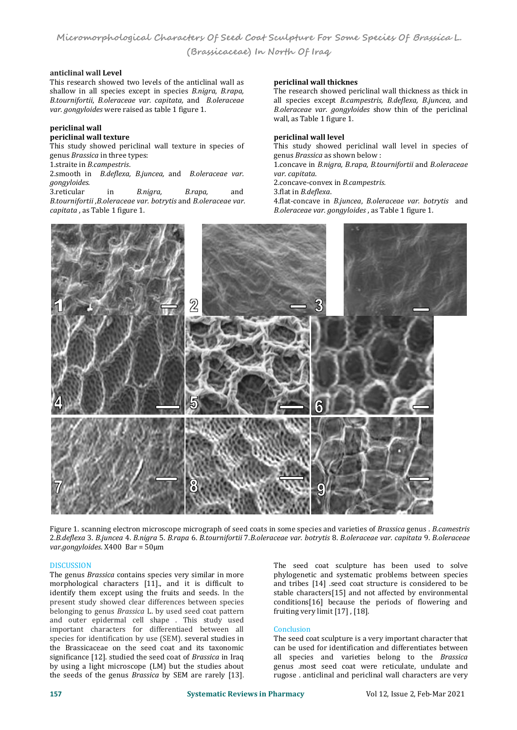**Micromorphological Characters Of Seed Coat Sculpture For Some Species Of Brassica L. (Brassicaceae) In North Of Iraq**

#### **anticlinal wall Level**

This research showed two levels of the anticlinal wall as shallow in all species except in species *B.nigra, B.rapa.* B.tournifortii, B.oleraceae var. capitata, and B.oleraceae<br>var. gongyloides were raised as table 1 figure 1.

## **periclinal wall**

### **periclinal wall texture**

This study showed periclinal wall texture in species of genus *Brassica* in three types:

1.straite in *B.campestris*.

2.smooth in *B.deflexa, B.juncea,* and *B.oleraceae var. gongyloides*.

3.reticular in *B.nigra, B.rapa,* and *B.tournifortii ,B.oleraceae var. botrytis* and *B.oleraceae var. capitata* , as Table <sup>1</sup> figure 1.

### **periclinal wall thicknes**

The research showed periclinal wall thickness as thick in all species except *B.campestris, B.deflexa, B.juncea,* and *B.oleraceae var. gongyloides* show thin of the periclinal wall, as Table 1 figure 1.

#### **periclinal wall level**

This study showed periclinal wall level in species of genus *Brassica* as shown below :

1.concave in *B.nigra, B.rapa, B.tournifortii* and *B.oleraceae* 

2.concave-convex in *B.campestris.*

3.flat in *B.deflexa*.

4.flat-concave in *B.juncea*, *B.oleraceae var. botrytis* and *B.oleraceae var. gongyloides* , as Table 1 figure 1.



Figure 1. scanning electron microscope micrograph of seed coatsin some species and varieties of *Brassica* genus . *B.camestris* 2.B.deflexa 3. B.juncea 4. B.nigra 5. B.rapa 6. B.tournifortii 7.B.oleraceae var. botrytis 8. B.oleraceae var. capitata 9. B.oleraceae<br>var.gongyloides. X400 Bar = 50µm

DISCUSSION The genus *Brassica* contains species very similar in more morphological characters [11]., and it is difficult to identify them except using the fruits and seeds. In the present study showed clear differences between species belonging to genus *Brassica* L. by used seed coat pattern and outer epidermal cell shape . This study used important characters for differentiaed between all species for identification by use (SEM). several studies in the Brassicaceae on the seed coat and its taxonomic significance [12]. studied the seed coat of *Brassica* in Iraq by using a light microscope (LM) but the studies about the seeds of the genus *Brassica* by SEM are rarely [13].

The seed coat sculpture has been used to solve phylogenetic and systematic problems between species and tribes [14] .seed coat structure is considered to be stable characters[15] and not affected by environmental conditions[16] because the periods of flowering and fruiting very limit [17], [18].

### **Conclusion**

The seed coat sculpture is a very important character that can be used for identification and differentiates between all species and varieties belong to the *Brassica* genus .most seed coat were reticulate, undulate and rugose . anticlinal and periclinal wall characters are very